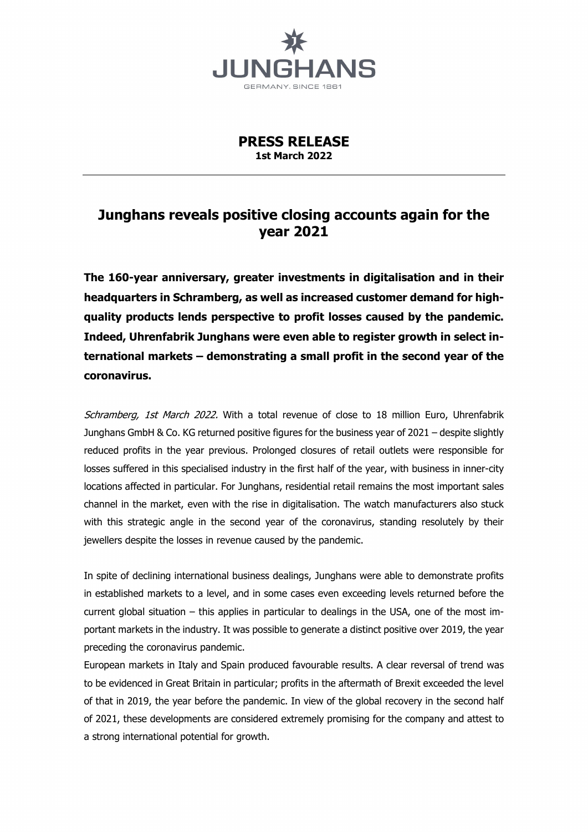

**PRESS RELEASE 1st March 2022**

## **Junghans reveals positive closing accounts again for the year 2021**

**The 160-year anniversary, greater investments in digitalisation and in their headquarters in Schramberg, as well as increased customer demand for highquality products lends perspective to profit losses caused by the pandemic. Indeed, Uhrenfabrik Junghans were even able to register growth in select international markets – demonstrating a small profit in the second year of the coronavirus.** 

Schramberg, 1st March 2022. With a total revenue of close to 18 million Euro, Uhrenfabrik Junghans GmbH & Co. KG returned positive figures for the business year of 2021 – despite slightly reduced profits in the year previous. Prolonged closures of retail outlets were responsible for losses suffered in this specialised industry in the first half of the year, with business in inner-city locations affected in particular. For Junghans, residential retail remains the most important sales channel in the market, even with the rise in digitalisation. The watch manufacturers also stuck with this strategic angle in the second year of the coronavirus, standing resolutely by their jewellers despite the losses in revenue caused by the pandemic.

In spite of declining international business dealings, Junghans were able to demonstrate profits in established markets to a level, and in some cases even exceeding levels returned before the current global situation – this applies in particular to dealings in the USA, one of the most important markets in the industry. It was possible to generate a distinct positive over 2019, the year preceding the coronavirus pandemic.

European markets in Italy and Spain produced favourable results. A clear reversal of trend was to be evidenced in Great Britain in particular; profits in the aftermath of Brexit exceeded the level of that in 2019, the year before the pandemic. In view of the global recovery in the second half of 2021, these developments are considered extremely promising for the company and attest to a strong international potential for growth.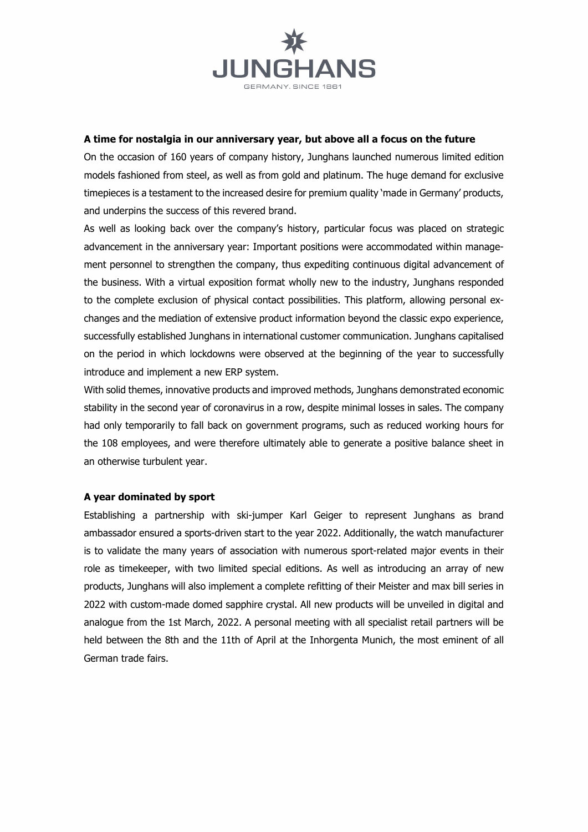

## **A time for nostalgia in our anniversary year, but above all a focus on the future**

On the occasion of 160 years of company history, Junghans launched numerous limited edition models fashioned from steel, as well as from gold and platinum. The huge demand for exclusive timepieces is a testament to the increased desire for premium quality 'made in Germany' products, and underpins the success of this revered brand.

As well as looking back over the company's history, particular focus was placed on strategic advancement in the anniversary year: Important positions were accommodated within management personnel to strengthen the company, thus expediting continuous digital advancement of the business. With a virtual exposition format wholly new to the industry, Junghans responded to the complete exclusion of physical contact possibilities. This platform, allowing personal exchanges and the mediation of extensive product information beyond the classic expo experience, successfully established Junghans in international customer communication. Junghans capitalised on the period in which lockdowns were observed at the beginning of the year to successfully introduce and implement a new ERP system.

With solid themes, innovative products and improved methods, Junghans demonstrated economic stability in the second year of coronavirus in a row, despite minimal losses in sales. The company had only temporarily to fall back on government programs, such as reduced working hours for the 108 employees, and were therefore ultimately able to generate a positive balance sheet in an otherwise turbulent year.

## **A year dominated by sport**

Establishing a partnership with ski-jumper Karl Geiger to represent Junghans as brand ambassador ensured a sports-driven start to the year 2022. Additionally, the watch manufacturer is to validate the many years of association with numerous sport-related major events in their role as timekeeper, with two limited special editions. As well as introducing an array of new products, Junghans will also implement a complete refitting of their Meister and max bill series in 2022 with custom-made domed sapphire crystal. All new products will be unveiled in digital and analogue from the 1st March, 2022. A personal meeting with all specialist retail partners will be held between the 8th and the 11th of April at the Inhorgenta Munich, the most eminent of all German trade fairs.